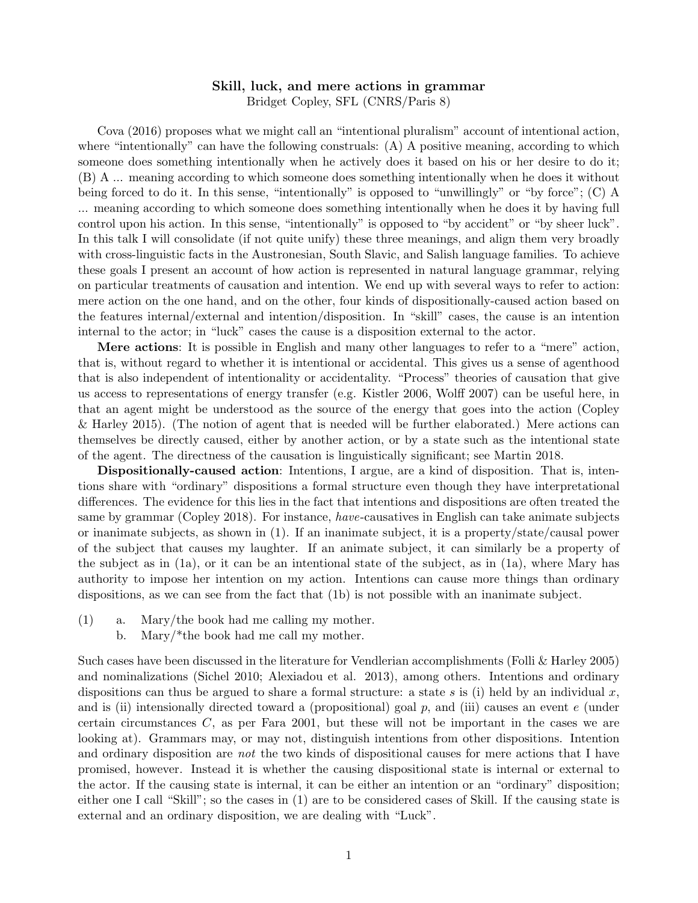## Skill, luck, and mere actions in grammar

Bridget Copley, SFL (CNRS/Paris 8)

Cova (2016) proposes what we might call an "intentional pluralism" account of intentional action, where "intentionally" can have the following construals: (A) A positive meaning, according to which someone does something intentionally when he actively does it based on his or her desire to do it; (B) A ... meaning according to which someone does something intentionally when he does it without being forced to do it. In this sense, "intentionally" is opposed to "unwillingly" or "by force"; (C) A ... meaning according to which someone does something intentionally when he does it by having full control upon his action. In this sense, "intentionally" is opposed to "by accident" or "by sheer luck". In this talk I will consolidate (if not quite unify) these three meanings, and align them very broadly with cross-linguistic facts in the Austronesian, South Slavic, and Salish language families. To achieve these goals I present an account of how action is represented in natural language grammar, relying on particular treatments of causation and intention. We end up with several ways to refer to action: mere action on the one hand, and on the other, four kinds of dispositionally-caused action based on the features internal/external and intention/disposition. In "skill" cases, the cause is an intention internal to the actor; in "luck" cases the cause is a disposition external to the actor.

Mere actions: It is possible in English and many other languages to refer to a "mere" action, that is, without regard to whether it is intentional or accidental. This gives us a sense of agenthood that is also independent of intentionality or accidentality. "Process" theories of causation that give us access to representations of energy transfer (e.g. Kistler 2006, Wolff 2007) can be useful here, in that an agent might be understood as the source of the energy that goes into the action (Copley & Harley 2015). (The notion of agent that is needed will be further elaborated.) Mere actions can themselves be directly caused, either by another action, or by a state such as the intentional state of the agent. The directness of the causation is linguistically significant; see Martin 2018.

Dispositionally-caused action: Intentions, I argue, are a kind of disposition. That is, intentions share with "ordinary" dispositions a formal structure even though they have interpretational differences. The evidence for this lies in the fact that intentions and dispositions are often treated the same by grammar (Copley 2018). For instance, have-causatives in English can take animate subjects or inanimate subjects, as shown in (1). If an inanimate subject, it is a property/state/causal power of the subject that causes my laughter. If an animate subject, it can similarly be a property of the subject as in (1a), or it can be an intentional state of the subject, as in (1a), where Mary has authority to impose her intention on my action. Intentions can cause more things than ordinary dispositions, as we can see from the fact that (1b) is not possible with an inanimate subject.

- (1) a. Mary/the book had me calling my mother.
	- b. Mary/\*the book had me call my mother.

Such cases have been discussed in the literature for Vendlerian accomplishments (Folli & Harley 2005) and nominalizations (Sichel 2010; Alexiadou et al. 2013), among others. Intentions and ordinary dispositions can thus be argued to share a formal structure: a state s is (i) held by an individual x, and is (ii) intensionally directed toward a (propositional) goal  $p$ , and (iii) causes an event  $e$  (under certain circumstances C, as per Fara 2001, but these will not be important in the cases we are looking at). Grammars may, or may not, distinguish intentions from other dispositions. Intention and ordinary disposition are *not* the two kinds of dispositional causes for mere actions that I have promised, however. Instead it is whether the causing dispositional state is internal or external to the actor. If the causing state is internal, it can be either an intention or an "ordinary" disposition; either one I call "Skill"; so the cases in (1) are to be considered cases of Skill. If the causing state is external and an ordinary disposition, we are dealing with "Luck".